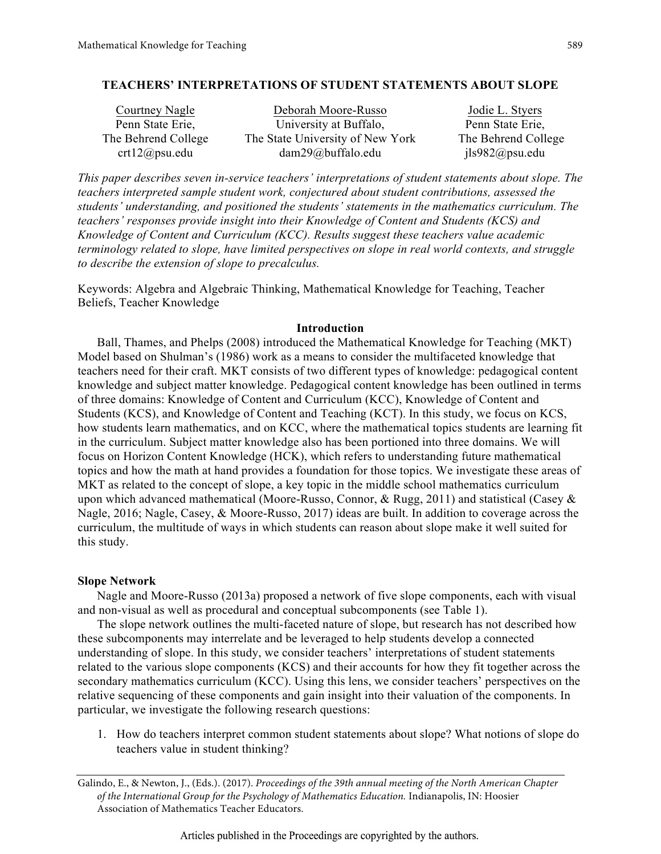## **TEACHERS' INTERPRETATIONS OF STUDENT STATEMENTS ABOUT SLOPE**

| Courtney Nagle      | Deborah Moore-Russo              | Jodie L. Styers     |
|---------------------|----------------------------------|---------------------|
| Penn State Erie,    | University at Buffalo,           | Penn State Erie,    |
| The Behrend College | The State University of New York | The Behrend College |
| crt12@psu.edu       | $dam29@$ buffalo.edu             | $ils982$ @psu.edu   |

*This paper describes seven in-service teachers' interpretations of student statements about slope. The teachers interpreted sample student work, conjectured about student contributions, assessed the students' understanding, and positioned the students' statements in the mathematics curriculum. The teachers' responses provide insight into their Knowledge of Content and Students (KCS) and Knowledge of Content and Curriculum (KCC). Results suggest these teachers value academic terminology related to slope, have limited perspectives on slope in real world contexts, and struggle to describe the extension of slope to precalculus.*

Keywords: Algebra and Algebraic Thinking, Mathematical Knowledge for Teaching, Teacher Beliefs, Teacher Knowledge

## **Introduction**

Ball, Thames, and Phelps (2008) introduced the Mathematical Knowledge for Teaching (MKT) Model based on Shulman's (1986) work as a means to consider the multifaceted knowledge that teachers need for their craft. MKT consists of two different types of knowledge: pedagogical content knowledge and subject matter knowledge. Pedagogical content knowledge has been outlined in terms of three domains: Knowledge of Content and Curriculum (KCC), Knowledge of Content and Students (KCS), and Knowledge of Content and Teaching (KCT). In this study, we focus on KCS, how students learn mathematics, and on KCC, where the mathematical topics students are learning fit in the curriculum. Subject matter knowledge also has been portioned into three domains. We will focus on Horizon Content Knowledge (HCK), which refers to understanding future mathematical topics and how the math at hand provides a foundation for those topics. We investigate these areas of MKT as related to the concept of slope, a key topic in the middle school mathematics curriculum upon which advanced mathematical (Moore-Russo, Connor, & Rugg, 2011) and statistical (Casey  $\&$ Nagle, 2016; Nagle, Casey, & Moore-Russo, 2017) ideas are built. In addition to coverage across the curriculum, the multitude of ways in which students can reason about slope make it well suited for this study.

## **Slope Network**

Nagle and Moore-Russo (2013a) proposed a network of five slope components, each with visual and non-visual as well as procedural and conceptual subcomponents (see Table 1).

The slope network outlines the multi-faceted nature of slope, but research has not described how these subcomponents may interrelate and be leveraged to help students develop a connected understanding of slope. In this study, we consider teachers' interpretations of student statements related to the various slope components (KCS) and their accounts for how they fit together across the secondary mathematics curriculum (KCC). Using this lens, we consider teachers' perspectives on the relative sequencing of these components and gain insight into their valuation of the components. In particular, we investigate the following research questions:

1. How do teachers interpret common student statements about slope? What notions of slope do teachers value in student thinking?

Articles published in the Proceedings are copyrighted by the authors.

Galindo, E., & Newton, J., (Eds.). (2017). *Proceedings of the 39th annual meeting of the North American Chapter of the International Group for the Psychology of Mathematics Education.* Indianapolis, IN: Hoosier Association of Mathematics Teacher Educators.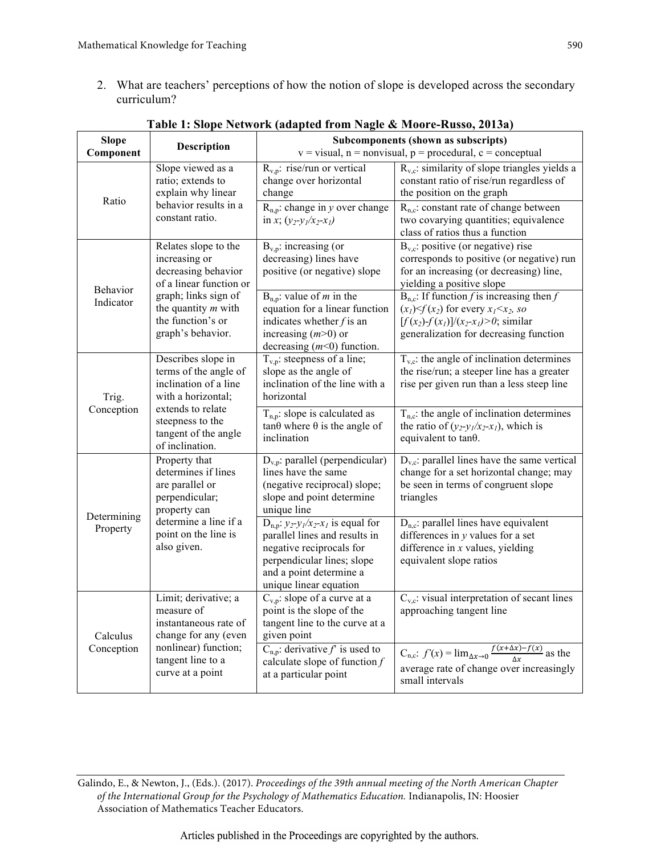2. What are teachers' perceptions of how the notion of slope is developed across the secondary curriculum?

| <b>Slope</b>           | Description                                                                                                     | Subcomponents (shown as subscripts)<br>$v = visual$ , n = nonvisual, p = procedural, c = conceptual                                                                                     |                                                                                                                                                                                    |  |  |  |  |  |  |  |
|------------------------|-----------------------------------------------------------------------------------------------------------------|-----------------------------------------------------------------------------------------------------------------------------------------------------------------------------------------|------------------------------------------------------------------------------------------------------------------------------------------------------------------------------------|--|--|--|--|--|--|--|
| Component              |                                                                                                                 |                                                                                                                                                                                         |                                                                                                                                                                                    |  |  |  |  |  |  |  |
| Ratio                  | Slope viewed as a<br>ratio; extends to<br>explain why linear<br>behavior results in a                           | $R_{v,p}$ : rise/run or vertical<br>change over horizontal<br>change<br>$R_{n,p}$ : change in y over change                                                                             | $R_{v,c}$ : similarity of slope triangles yields a<br>constant ratio of rise/run regardless of<br>the position on the graph<br>$R_{n,c}$ : constant rate of change between         |  |  |  |  |  |  |  |
|                        | constant ratio.                                                                                                 | in x; $(y_2-y_1/x_2-x_1)$                                                                                                                                                               | two covarying quantities; equivalence<br>class of ratios thus a function                                                                                                           |  |  |  |  |  |  |  |
| Behavior               | Relates slope to the<br>increasing or<br>decreasing behavior<br>of a linear function or                         | $B_{v,p}$ : increasing (or<br>decreasing) lines have<br>positive (or negative) slope                                                                                                    | $B_{v,c}$ : positive (or negative) rise<br>corresponds to positive (or negative) run<br>for an increasing (or decreasing) line,<br>yielding a positive slope                       |  |  |  |  |  |  |  |
| Indicator              | graph; links sign of<br>the quantity $m$ with<br>the function's or<br>graph's behavior.                         | $B_{n,p}$ : value of <i>m</i> in the<br>equation for a linear function<br>indicates whether $f$ is an<br>increasing $(m>0)$ or<br>decreasing $(m<0)$ function.                          | $B_{n,c}$ : If function f is increasing then f<br>$(x1) < f(x2)$ for every $x1 < x2$ , so<br>$[f(x_2) - f(x_1)]/(x_2-x_1) > 0$ ; similar<br>generalization for decreasing function |  |  |  |  |  |  |  |
| Trig.<br>Conception    | Describes slope in<br>terms of the angle of<br>inclination of a line<br>with a horizontal;<br>extends to relate | $T_{v,p}$ : steepness of a line;<br>slope as the angle of<br>inclination of the line with a<br>horizontal                                                                               | $T_{v,c}$ : the angle of inclination determines<br>the rise/run; a steeper line has a greater<br>rise per given run than a less steep line                                         |  |  |  |  |  |  |  |
|                        | steepness to the<br>tangent of the angle<br>of inclination.                                                     | $T_{n,p}$ : slope is calculated as<br>$tan\theta$ where $\theta$ is the angle of<br>inclination                                                                                         | $T_{n,c}$ : the angle of inclination determines<br>the ratio of $(y_2-y_1/x_2-x_1)$ , which is<br>equivalent to tanθ.                                                              |  |  |  |  |  |  |  |
| Determining            | Property that<br>determines if lines<br>are parallel or<br>perpendicular;<br>property can                       | $D_{v,p}$ : parallel (perpendicular)<br>lines have the same<br>(negative reciprocal) slope;<br>slope and point determine<br>unique line                                                 | $D_{v,c}$ : parallel lines have the same vertical<br>change for a set horizontal change; may<br>be seen in terms of congruent slope<br>triangles                                   |  |  |  |  |  |  |  |
| Property               | determine a line if a<br>point on the line is<br>also given.                                                    | $D_{n,p}: y_2-y_1/x_2-x_1$ is equal for<br>parallel lines and results in<br>negative reciprocals for<br>perpendicular lines; slope<br>and a point determine a<br>unique linear equation | $D_{n,c}$ : parallel lines have equivalent<br>differences in $y$ values for a set<br>difference in $x$ values, yielding<br>equivalent slope ratios                                 |  |  |  |  |  |  |  |
| Calculus<br>Conception | Limit; derivative; a<br>measure of<br>instantaneous rate of<br>change for any (even                             | $C_{v,p}$ : slope of a curve at a<br>point is the slope of the<br>tangent line to the curve at a<br>given point                                                                         | $C_{v,c}$ : visual interpretation of secant lines<br>approaching tangent line                                                                                                      |  |  |  |  |  |  |  |
|                        | nonlinear) function;<br>tangent line to a<br>curve at a point                                                   | $C_{n,p}$ : derivative f is used to<br>calculate slope of function $f$<br>at a particular point                                                                                         | $C_{n,c}: f'(x) = \lim_{\Delta x \to 0} \frac{f(x + \Delta x) - f(x)}{\Delta x}$ as the<br>average rate of change over increasingly<br>small intervals                             |  |  |  |  |  |  |  |

# **Table 1: Slope Network (adapted from Nagle & Moore-Russo, 2013a)**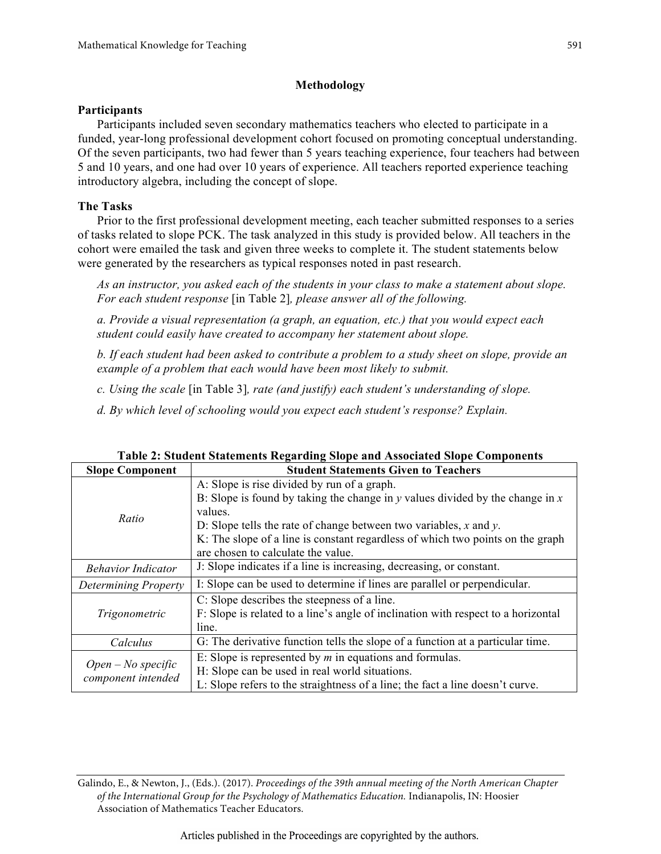# **Methodology**

# **Participants**

Participants included seven secondary mathematics teachers who elected to participate in a funded, year-long professional development cohort focused on promoting conceptual understanding. Of the seven participants, two had fewer than 5 years teaching experience, four teachers had between 5 and 10 years, and one had over 10 years of experience. All teachers reported experience teaching introductory algebra, including the concept of slope.

# **The Tasks**

Prior to the first professional development meeting, each teacher submitted responses to a series of tasks related to slope PCK. The task analyzed in this study is provided below. All teachers in the cohort were emailed the task and given three weeks to complete it. The student statements below were generated by the researchers as typical responses noted in past research.

*As an instructor, you asked each of the students in your class to make a statement about slope. For each student response* [in Table 2]*, please answer all of the following.* 

*a. Provide a visual representation (a graph, an equation, etc.) that you would expect each student could easily have created to accompany her statement about slope.*

*b. If each student had been asked to contribute a problem to a study sheet on slope, provide an example of a problem that each would have been most likely to submit.* 

*c. Using the scale* [in Table 3]*, rate (and justify) each student's understanding of slope.* 

*d. By which level of schooling would you expect each student's response? Explain.*

| <b>Slope Component</b>    | <b>Student Statements Given to Teachers</b>                                                  |  |  |  |  |  |  |  |
|---------------------------|----------------------------------------------------------------------------------------------|--|--|--|--|--|--|--|
|                           | A: Slope is rise divided by run of a graph.                                                  |  |  |  |  |  |  |  |
|                           | B: Slope is found by taking the change in $y$ values divided by the change in $x$<br>values. |  |  |  |  |  |  |  |
| Ratio                     | D: Slope tells the rate of change between two variables, $x$ and $y$ .                       |  |  |  |  |  |  |  |
|                           | K: The slope of a line is constant regardless of which two points on the graph               |  |  |  |  |  |  |  |
|                           | are chosen to calculate the value.                                                           |  |  |  |  |  |  |  |
| <b>Behavior Indicator</b> | J: Slope indicates if a line is increasing, decreasing, or constant.                         |  |  |  |  |  |  |  |
| Determining Property      | I: Slope can be used to determine if lines are parallel or perpendicular.                    |  |  |  |  |  |  |  |
|                           | C: Slope describes the steepness of a line.                                                  |  |  |  |  |  |  |  |
| Trigonometric             | F: Slope is related to a line's angle of inclination with respect to a horizontal            |  |  |  |  |  |  |  |
|                           | line.                                                                                        |  |  |  |  |  |  |  |
| Calculus                  | G: The derivative function tells the slope of a function at a particular time.               |  |  |  |  |  |  |  |
| $Open - No specific$      | E: Slope is represented by $m$ in equations and formulas.                                    |  |  |  |  |  |  |  |
|                           | H: Slope can be used in real world situations.                                               |  |  |  |  |  |  |  |
| component intended        | L: Slope refers to the straightness of a line; the fact a line doesn't curve.                |  |  |  |  |  |  |  |

| Table 2: Student Statements Regarding Slope and Associated Slope Components |  |  |
|-----------------------------------------------------------------------------|--|--|
|-----------------------------------------------------------------------------|--|--|

Galindo, E., & Newton, J., (Eds.). (2017). *Proceedings of the 39th annual meeting of the North American Chapter of the International Group for the Psychology of Mathematics Education.* Indianapolis, IN: Hoosier Association of Mathematics Teacher Educators.

Articles published in the Proceedings are copyrighted by the authors.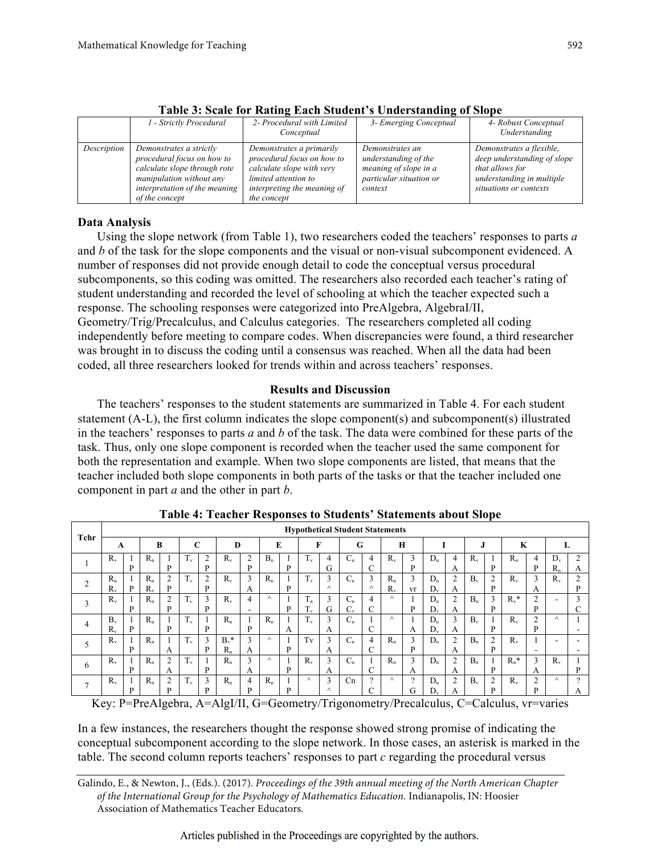|             | 1 - Strictly Procedural                                                                                                                                              | 2- Procedural with Limited<br>Conceptual                                                                                                                  | 3- Emerging Conceptual                                                                                 | 4- Robust Conceptual<br>Understanding                                                                                             |
|-------------|----------------------------------------------------------------------------------------------------------------------------------------------------------------------|-----------------------------------------------------------------------------------------------------------------------------------------------------------|--------------------------------------------------------------------------------------------------------|-----------------------------------------------------------------------------------------------------------------------------------|
| Description | Demonstrates a strictly<br>procedural focus on how to<br>calculate slope through rote<br>manipulation without any<br>interpretation of the meaning<br>of the concept | Demonstrates a primarily<br>procedural focus on how to<br>calculate slope with very<br>limited attention to<br>interpreting the meaning of<br>the concept | Demonstrates an<br>understanding of the<br>meaning of slope in a<br>particular situation or<br>context | Demonstrates a flexible,<br>deep understanding of slope<br>that allows for<br>understanding in multiple<br>situations or contexts |

**Table 3: Scale for Rating Each Student's Understanding of Slope**

## **Data Analysis**

Using the slope network (from Table 1), two researchers coded the teachers' responses to parts *a* and *b* of the task for the slope components and the visual or non-visual subcomponent evidenced. A number of responses did not provide enough detail to code the conceptual versus procedural subcomponents, so this coding was omitted. The researchers also recorded each teacher's rating of student understanding and recorded the level of schooling at which the teacher expected such a response. The schooling responses were categorized into PreAlgebra, AlgebraI/II, Geometry/Trig/Precalculus, and Calculus categories. The researchers completed all coding independently before meeting to compare codes. When discrepancies were found, a third researcher was brought in to discuss the coding until a consensus was reached. When all the data had been coded, all three researchers looked for trends within and across teachers' responses.

## **Results and Discussion**

The teachers' responses to the student statements are summarized in Table 4. For each student statement (A-L), the first column indicates the slope component(s) and subcomponent(s) illustrated in the teachers' responses to parts *a* and *b* of the task. The data were combined for these parts of the task. Thus, only one slope component is recorded when the teacher used the same component for both the representation and example. When two slope components are listed, that means that the teacher included both slope components in both parts of the tasks or that the teacher included one component in part *a* and the other in part *b*.

| Tchr           | <b>Hypothetical Student Statements</b> |   |                  |                     |             |                     |                    |                     |          |         |                      |               |                  |                     |                  |               |                  |                     |           |                     |             |                          |                          |                     |
|----------------|----------------------------------------|---|------------------|---------------------|-------------|---------------------|--------------------|---------------------|----------|---------|----------------------|---------------|------------------|---------------------|------------------|---------------|------------------|---------------------|-----------|---------------------|-------------|--------------------------|--------------------------|---------------------|
|                | A                                      |   | В                |                     | C           |                     | D                  |                     | E        |         | F                    |               | G                |                     | H                |               |                  |                     | J         |                     | K           |                          |                          |                     |
|                | $R_{v}$                                | P | $R_{n}$          | P                   | $1_v$       | $\overline{2}$<br>D | $R_{v}$            | $\overline{2}$<br>P | $B_n$    | P       | $T_{v}$              | 4<br>G        | $C_n$            | $\overline{4}$<br>C | $R_{v}$          | 3<br>P        | $D_n$            | $\overline{4}$<br>А | $R_{v}$   | P                   | $R_n$       | 4<br>D                   | $D_{v}$<br>$R_{n}$       | 2<br>A              |
| $\overline{2}$ | $R_n$<br>$R_{\rm v}$                   | P | $R_n$<br>$R_{v}$ | $\overline{c}$<br>P | 1v          | $\overline{2}$<br>D | $R_{v}$            | 3<br>A              | $R_n$    | P       | $T_{v}$              | 3<br>$\wedge$ | $C_n$            | 3<br>Λ              | $R_n$<br>$R_{v}$ | 3<br>vr       | $D_n$<br>$D_{v}$ | $\overline{2}$<br>А | $B_v$     | $\overline{2}$<br>P | $R_{v}$     | 3<br>A                   | $R_{v}$                  | $\overline{2}$<br>D |
| 3              | $R_v$                                  | P | $R_n$            | $\overline{2}$<br>D | $T_{v}$     | 3<br>D              | $R_v$              | 4<br>-              | $\wedge$ | P       | $T_n$<br>œ.<br>$1_v$ | 3<br>G        | $C_n$<br>$C_{v}$ | 4<br>C              | $\wedge$         | P             | $D_n$<br>$D_{v}$ | $\overline{2}$<br>A | $B_n$     | 3<br>P              | $R_v^*$     | $\overline{2}$<br>D      | ۰                        | 3<br>C              |
| 4              | $B_{\nu}$<br>$R_{v}$                   | P | $R_{n}$          | P                   | T.<br>$1_v$ | D                   | $R_n$              | P                   | $R_{n}$  | л.<br>А | $T_{v}$              | 3<br>A        | $C_n$            | C                   | $\wedge$         | А             | $D_n$<br>$D_v$   | 3<br>A              | $B_{\nu}$ | P                   | $R_{v}$     | $\overline{2}$<br>P      | $\wedge$                 |                     |
| 5              | $R_{v}$                                | P | $R_n$            | A                   | $T_{v}$     | 3<br>D              | $B_v^*$<br>$R_{n}$ | 3<br>A              | $\wedge$ | P       | Tv                   | 3<br>A        | $C_n$            | $\overline{4}$<br>C | $R_n$            | 3<br>P        | $D_n$            | $\overline{2}$<br>А | $B_n$     | $\overline{2}$<br>P | $R_v$       | $\overline{\phantom{a}}$ | $\overline{\phantom{a}}$ | ۰.                  |
| 6              | $R_{v}$                                | P | $R_n$            | 2<br>A              | $T_{v}$     | D                   | $R_n$              | 3<br>A              | $\wedge$ | P       | $R_v$                | 3<br>A        | $C_n$            | C                   | $R_n$            | 3<br>A        | $D_n$            | $\overline{2}$<br>A | $B_n$     | P                   | $R_n^*$     | 3<br>A                   | $R_{v}$                  | P                   |
| $\mathbf{r}$   | $R_{\rm v}$                            | D | $R_{n}$          | 2<br>D              | $1_v$       | 3<br>D              | $R_n$              | 4<br>D              | $R_{n}$  | D       | $\wedge$             | 3<br>$\wedge$ | Cn               | $\Omega$<br>C       | $\wedge$         | $\Omega$<br>G | $D_n$<br>D       | $\overline{2}$<br>А | $B_{\nu}$ | $\overline{2}$<br>D | $R_{\rm w}$ | $\overline{2}$<br>D      | $\wedge$                 | $\Omega$<br>А       |

**Table 4: Teacher Responses to Students' Statements about Slope**

Key: P=PreAlgebra, A=AlgI/II, G=Geometry/Trigonometry/Precalculus, C=Calculus, vr=varies

In a few instances, the researchers thought the response showed strong promise of indicating the conceptual subcomponent according to the slope network. In those cases, an asterisk is marked in the table. The second column reports teachers' responses to part *c* regarding the procedural versus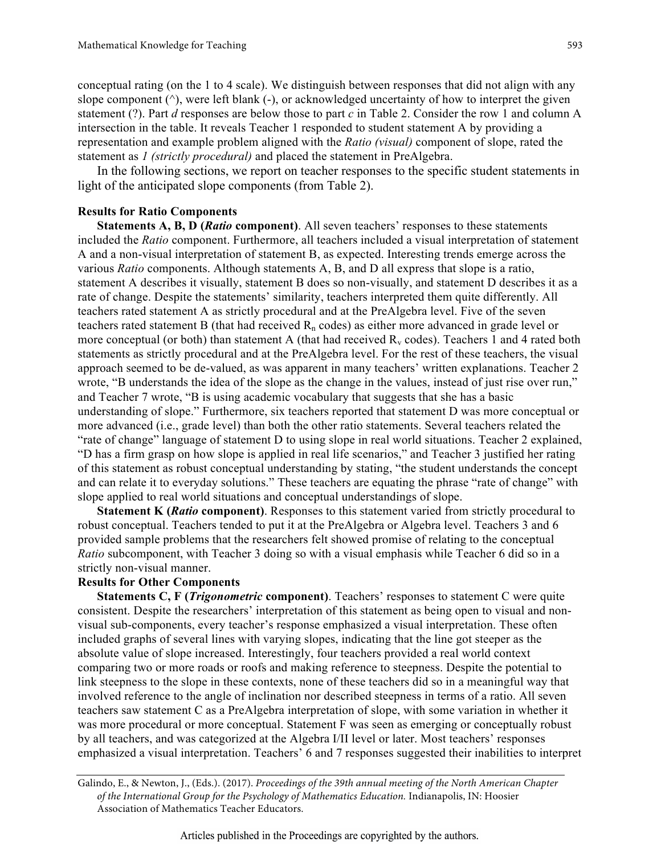conceptual rating (on the 1 to 4 scale). We distinguish between responses that did not align with any slope component  $(^\wedge)$ , were left blank  $(-)$ , or acknowledged uncertainty of how to interpret the given statement (?). Part *d* responses are below those to part *c* in Table 2. Consider the row 1 and column A intersection in the table. It reveals Teacher 1 responded to student statement A by providing a representation and example problem aligned with the *Ratio (visual)* component of slope, rated the statement as *1 (strictly procedural)* and placed the statement in PreAlgebra.

In the following sections, we report on teacher responses to the specific student statements in light of the anticipated slope components (from Table 2).

## **Results for Ratio Components**

**Statements A, B, D (***Ratio* **component)**. All seven teachers' responses to these statements included the *Ratio* component. Furthermore, all teachers included a visual interpretation of statement A and a non-visual interpretation of statement B, as expected. Interesting trends emerge across the various *Ratio* components. Although statements A, B, and D all express that slope is a ratio, statement A describes it visually, statement B does so non-visually, and statement D describes it as a rate of change. Despite the statements' similarity, teachers interpreted them quite differently. All teachers rated statement A as strictly procedural and at the PreAlgebra level. Five of the seven teachers rated statement B (that had received  $R_n$  codes) as either more advanced in grade level or more conceptual (or both) than statement A (that had received  $R<sub>v</sub>$  codes). Teachers 1 and 4 rated both statements as strictly procedural and at the PreAlgebra level. For the rest of these teachers, the visual approach seemed to be de-valued, as was apparent in many teachers' written explanations. Teacher 2 wrote, "B understands the idea of the slope as the change in the values, instead of just rise over run," and Teacher 7 wrote, "B is using academic vocabulary that suggests that she has a basic understanding of slope." Furthermore, six teachers reported that statement D was more conceptual or more advanced (i.e., grade level) than both the other ratio statements. Several teachers related the "rate of change" language of statement D to using slope in real world situations. Teacher 2 explained, "D has a firm grasp on how slope is applied in real life scenarios," and Teacher 3 justified her rating of this statement as robust conceptual understanding by stating, "the student understands the concept and can relate it to everyday solutions." These teachers are equating the phrase "rate of change" with slope applied to real world situations and conceptual understandings of slope.

**Statement K (***Ratio* **component)**. Responses to this statement varied from strictly procedural to robust conceptual. Teachers tended to put it at the PreAlgebra or Algebra level. Teachers 3 and 6 provided sample problems that the researchers felt showed promise of relating to the conceptual *Ratio* subcomponent, with Teacher 3 doing so with a visual emphasis while Teacher 6 did so in a strictly non-visual manner.

# **Results for Other Components**

**Statements C, F (***Trigonometric* **component)**. Teachers' responses to statement C were quite consistent. Despite the researchers' interpretation of this statement as being open to visual and nonvisual sub-components, every teacher's response emphasized a visual interpretation. These often included graphs of several lines with varying slopes, indicating that the line got steeper as the absolute value of slope increased. Interestingly, four teachers provided a real world context comparing two or more roads or roofs and making reference to steepness. Despite the potential to link steepness to the slope in these contexts, none of these teachers did so in a meaningful way that involved reference to the angle of inclination nor described steepness in terms of a ratio. All seven teachers saw statement C as a PreAlgebra interpretation of slope, with some variation in whether it was more procedural or more conceptual. Statement F was seen as emerging or conceptually robust by all teachers, and was categorized at the Algebra I/II level or later. Most teachers' responses emphasized a visual interpretation. Teachers' 6 and 7 responses suggested their inabilities to interpret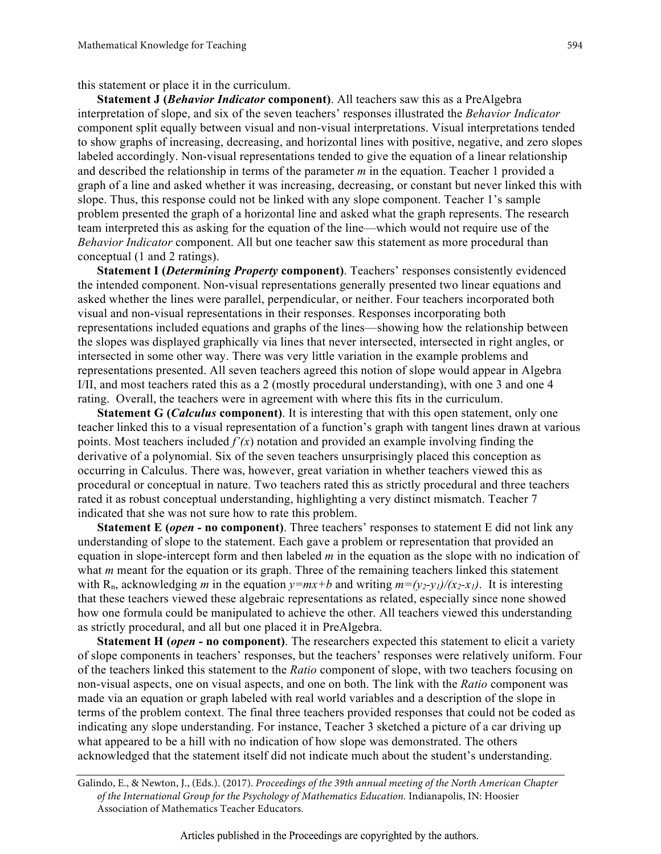this statement or place it in the curriculum.

**Statement J (***Behavior Indicator* **component)**. All teachers saw this as a PreAlgebra interpretation of slope, and six of the seven teachers' responses illustrated the *Behavior Indicator* component split equally between visual and non-visual interpretations. Visual interpretations tended to show graphs of increasing, decreasing, and horizontal lines with positive, negative, and zero slopes labeled accordingly. Non-visual representations tended to give the equation of a linear relationship and described the relationship in terms of the parameter *m* in the equation. Teacher 1 provided a graph of a line and asked whether it was increasing, decreasing, or constant but never linked this with slope. Thus, this response could not be linked with any slope component. Teacher 1's sample problem presented the graph of a horizontal line and asked what the graph represents. The research team interpreted this as asking for the equation of the line—which would not require use of the *Behavior Indicator* component. All but one teacher saw this statement as more procedural than conceptual (1 and 2 ratings).

**Statement I (***Determining Property* **component)**. Teachers' responses consistently evidenced the intended component. Non-visual representations generally presented two linear equations and asked whether the lines were parallel, perpendicular, or neither. Four teachers incorporated both visual and non-visual representations in their responses. Responses incorporating both representations included equations and graphs of the lines—showing how the relationship between the slopes was displayed graphically via lines that never intersected, intersected in right angles, or intersected in some other way. There was very little variation in the example problems and representations presented. All seven teachers agreed this notion of slope would appear in Algebra I/II, and most teachers rated this as a 2 (mostly procedural understanding), with one 3 and one 4 rating. Overall, the teachers were in agreement with where this fits in the curriculum.

**Statement G (***Calculus* **component)**. It is interesting that with this open statement, only one teacher linked this to a visual representation of a function's graph with tangent lines drawn at various points. Most teachers included  $f'(x)$  notation and provided an example involving finding the derivative of a polynomial. Six of the seven teachers unsurprisingly placed this conception as occurring in Calculus. There was, however, great variation in whether teachers viewed this as procedural or conceptual in nature. Two teachers rated this as strictly procedural and three teachers rated it as robust conceptual understanding, highlighting a very distinct mismatch. Teacher 7 indicated that she was not sure how to rate this problem.

**Statement E (***open -* **no component)**. Three teachers' responses to statement E did not link any understanding of slope to the statement. Each gave a problem or representation that provided an equation in slope-intercept form and then labeled *m* in the equation as the slope with no indication of what *m* meant for the equation or its graph. Three of the remaining teachers linked this statement with R<sub>n</sub>, acknowledging *m* in the equation  $y=mx+b$  and writing  $m=(y_2-y_1)/(x_2-x_1)$ . It is interesting that these teachers viewed these algebraic representations as related, especially since none showed how one formula could be manipulated to achieve the other. All teachers viewed this understanding as strictly procedural, and all but one placed it in PreAlgebra.

**Statement H (***open -* **no component)**. The researchers expected this statement to elicit a variety of slope components in teachers' responses, but the teachers' responses were relatively uniform. Four of the teachers linked this statement to the *Ratio* component of slope, with two teachers focusing on non-visual aspects, one on visual aspects, and one on both. The link with the *Ratio* component was made via an equation or graph labeled with real world variables and a description of the slope in terms of the problem context. The final three teachers provided responses that could not be coded as indicating any slope understanding. For instance, Teacher 3 sketched a picture of a car driving up what appeared to be a hill with no indication of how slope was demonstrated. The others acknowledged that the statement itself did not indicate much about the student's understanding.

Galindo, E., & Newton, J., (Eds.). (2017). *Proceedings of the 39th annual meeting of the North American Chapter of the International Group for the Psychology of Mathematics Education.* Indianapolis, IN: Hoosier Association of Mathematics Teacher Educators.

Articles published in the Proceedings are copyrighted by the authors.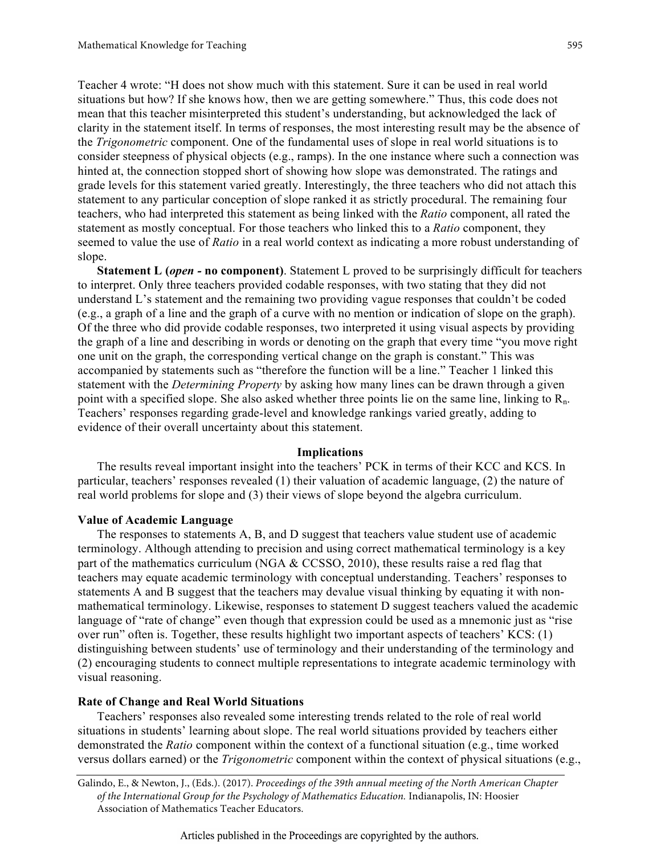Teacher 4 wrote: "H does not show much with this statement. Sure it can be used in real world situations but how? If she knows how, then we are getting somewhere." Thus, this code does not mean that this teacher misinterpreted this student's understanding, but acknowledged the lack of clarity in the statement itself. In terms of responses, the most interesting result may be the absence of the *Trigonometric* component. One of the fundamental uses of slope in real world situations is to consider steepness of physical objects (e.g., ramps). In the one instance where such a connection was hinted at, the connection stopped short of showing how slope was demonstrated. The ratings and grade levels for this statement varied greatly. Interestingly, the three teachers who did not attach this statement to any particular conception of slope ranked it as strictly procedural. The remaining four teachers, who had interpreted this statement as being linked with the *Ratio* component, all rated the statement as mostly conceptual. For those teachers who linked this to a *Ratio* component, they seemed to value the use of *Ratio* in a real world context as indicating a more robust understanding of slope.

**Statement L (***open -* **no component)**. Statement L proved to be surprisingly difficult for teachers to interpret. Only three teachers provided codable responses, with two stating that they did not understand L's statement and the remaining two providing vague responses that couldn't be coded (e.g., a graph of a line and the graph of a curve with no mention or indication of slope on the graph). Of the three who did provide codable responses, two interpreted it using visual aspects by providing the graph of a line and describing in words or denoting on the graph that every time "you move right one unit on the graph, the corresponding vertical change on the graph is constant." This was accompanied by statements such as "therefore the function will be a line." Teacher 1 linked this statement with the *Determining Property* by asking how many lines can be drawn through a given point with a specified slope. She also asked whether three points lie on the same line, linking to  $R_n$ . Teachers' responses regarding grade-level and knowledge rankings varied greatly, adding to evidence of their overall uncertainty about this statement.

#### **Implications**

The results reveal important insight into the teachers' PCK in terms of their KCC and KCS. In particular, teachers' responses revealed (1) their valuation of academic language, (2) the nature of real world problems for slope and (3) their views of slope beyond the algebra curriculum.

#### **Value of Academic Language**

The responses to statements A, B, and D suggest that teachers value student use of academic terminology. Although attending to precision and using correct mathematical terminology is a key part of the mathematics curriculum (NGA & CCSSO, 2010), these results raise a red flag that teachers may equate academic terminology with conceptual understanding. Teachers' responses to statements A and B suggest that the teachers may devalue visual thinking by equating it with nonmathematical terminology. Likewise, responses to statement D suggest teachers valued the academic language of "rate of change" even though that expression could be used as a mnemonic just as "rise" over run" often is. Together, these results highlight two important aspects of teachers' KCS: (1) distinguishing between students' use of terminology and their understanding of the terminology and (2) encouraging students to connect multiple representations to integrate academic terminology with visual reasoning.

## **Rate of Change and Real World Situations**

Teachers' responses also revealed some interesting trends related to the role of real world situations in students' learning about slope. The real world situations provided by teachers either demonstrated the *Ratio* component within the context of a functional situation (e.g., time worked versus dollars earned) or the *Trigonometric* component within the context of physical situations (e.g.,

Galindo, E., & Newton, J., (Eds.). (2017). *Proceedings of the 39th annual meeting of the North American Chapter of the International Group for the Psychology of Mathematics Education.* Indianapolis, IN: Hoosier Association of Mathematics Teacher Educators.

595